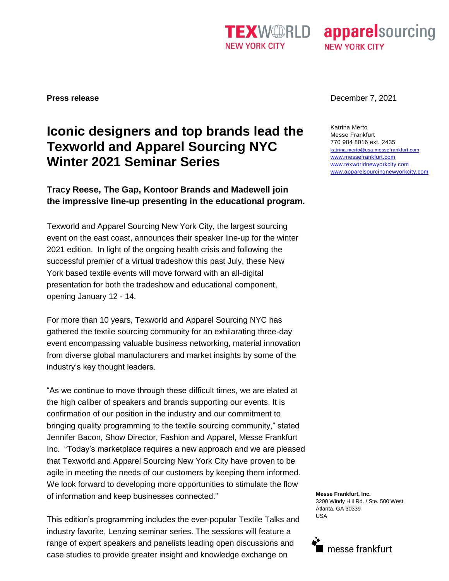# **Iconic designers and top brands lead the Texworld and Apparel Sourcing NYC Winter 2021 Seminar Series**

# **Tracy Reese, The Gap, Kontoor Brands and Madewell join the impressive line-up presenting in the educational program.**

Texworld and Apparel Sourcing New York City, the largest sourcing event on the east coast, announces their speaker line-up for the winter 2021 edition. In light of the ongoing health crisis and following the successful premier of a virtual tradeshow this past July, these New York based textile events will move forward with an all-digital presentation for both the tradeshow and educational component, opening January 12 - 14.

For more than 10 years, Texworld and Apparel Sourcing NYC has gathered the textile sourcing community for an exhilarating three-day event encompassing valuable business networking, material innovation from diverse global manufacturers and market insights by some of the industry's key thought leaders.

"As we continue to move through these difficult times, we are elated at the high caliber of speakers and brands supporting our events. It is confirmation of our position in the industry and our commitment to bringing quality programming to the textile sourcing community," stated Jennifer Bacon, Show Director, Fashion and Apparel, Messe Frankfurt Inc. "Today's marketplace requires a new approach and we are pleased that Texworld and Apparel Sourcing New York City have proven to be agile in meeting the needs of our customers by keeping them informed. We look forward to developing more opportunities to stimulate the flow of information and keep businesses connected."

This edition's programming includes the ever-popular Textile Talks and industry favorite, Lenzing seminar series. The sessions will feature a range of expert speakers and panelists leading open discussions and case studies to provide greater insight and knowledge exchange on

**Press release** December 7, 2021

Katrina Merto Messe Frankfurt 770 984 8016 ext. 2435 katrina.merto@usa.messefrankfurt.com [www.messefrankfurt.com](http://www.messefrankfurt.com/) [www.texworldnewyorkcity.com](http://www.texworldnewyorkcity.com/) [www.apparelsourcingnewyorkcity.com](http://www.apparelsourcingnewyorkcity.com/)

**Messe Frankfurt, Inc.** 3200 Windy Hill Rd. / Ste. 500 West Atlanta, GA 30339 USA





apparelsourcing **NEW YORK CITY**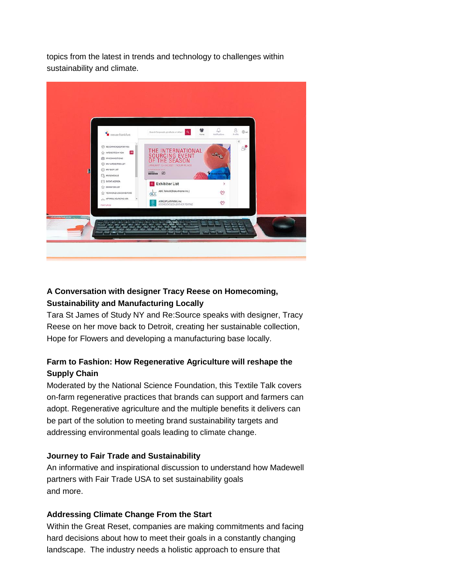topics from the latest in trends and technology to challenges within sustainability and climate.



# **A Conversation with designer Tracy Reese on Homecoming, Sustainability and Manufacturing Locally**

Tara St James of Study NY and Re:Source speaks with designer, Tracy Reese on her move back to Detroit, creating her sustainable collection, Hope for Flowers and developing a manufacturing base locally.

# **Farm to Fashion: How Regenerative Agriculture will reshape the Supply Chain**

Moderated by the National Science Foundation, this Textile Talk covers on-farm regenerative practices that brands can support and farmers can adopt. Regenerative agriculture and the multiple benefits it delivers can be part of the solution to meeting brand sustainability targets and addressing environmental goals leading to climate change.

## **Journey to Fair Trade and Sustainability**

An informative and inspirational discussion to understand how Madewell partners with Fair Trade USA to set sustainability goals and more.

## **Addressing Climate Change From the Start**

Within the Great Reset, companies are making commitments and facing hard decisions about how to meet their goals in a constantly changing landscape. The industry needs a holistic approach to ensure that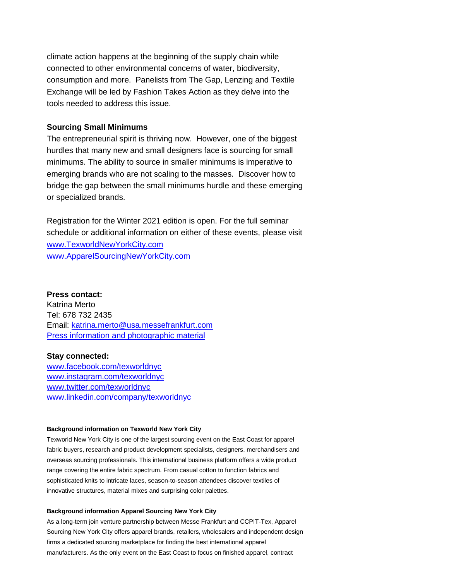climate action happens at the beginning of the supply chain while connected to other environmental concerns of water, biodiversity, consumption and more. Panelists from The Gap, Lenzing and Textile Exchange will be led by Fashion Takes Action as they delve into the tools needed to address this issue.

## **Sourcing Small Minimums**

The entrepreneurial spirit is thriving now. However, one of the biggest hurdles that many new and small designers face is sourcing for small minimums. The ability to source in smaller minimums is imperative to emerging brands who are not scaling to the masses. Discover how to bridge the gap between the small minimums hurdle and these emerging or specialized brands.

Registration for the Winter 2021 edition is open. For the full seminar schedule or additional information on either of these events, please visit [www.TexworldNewYorkCity.com](http://www.texworldnewyorkcity.com/) [www.ApparelSourcingNewYorkCity.com](http://www.apparelsourcingnewyorkcity.com/)

**Press contact:** Katrina Merto Tel: 678 732 2435 Email: [katrina.merto@usa.messefrankfurt.com](mailto:katrina.merto@usa.messefrankfurt.com) [Press information and photographic material](https://texworld-usa.us.messefrankfurt.com/new-york/en/press/fotos.html) 

## **Stay connected:**

[www.facebook.com/texworldnyc](http://www.facebook.com/texworldnyc) [www.instagram.com/texworldnyc](http://www.instagram.com/texworldnyc) [www.twitter.com/texworldnyc](http://www.twitter.com/texworldny) www.linkedin.com/company/texworldnyc

## **Background information on Texworld New York City**

Texworld New York City is one of the largest sourcing event on the East Coast for apparel fabric buyers, research and product development specialists, designers, merchandisers and overseas sourcing professionals. This international business platform offers a wide product range covering the entire fabric spectrum. From casual cotton to function fabrics and sophisticated knits to intricate laces, season-to-season attendees discover textiles of innovative structures, material mixes and surprising color palettes.

## **Background information Apparel Sourcing New York City**

As a long-term join venture partnership between Messe Frankfurt and CCPIT-Tex, Apparel Sourcing New York City offers apparel brands, retailers, wholesalers and independent design firms a dedicated sourcing marketplace for finding the best international apparel manufacturers. As the only event on the East Coast to focus on finished apparel, contract